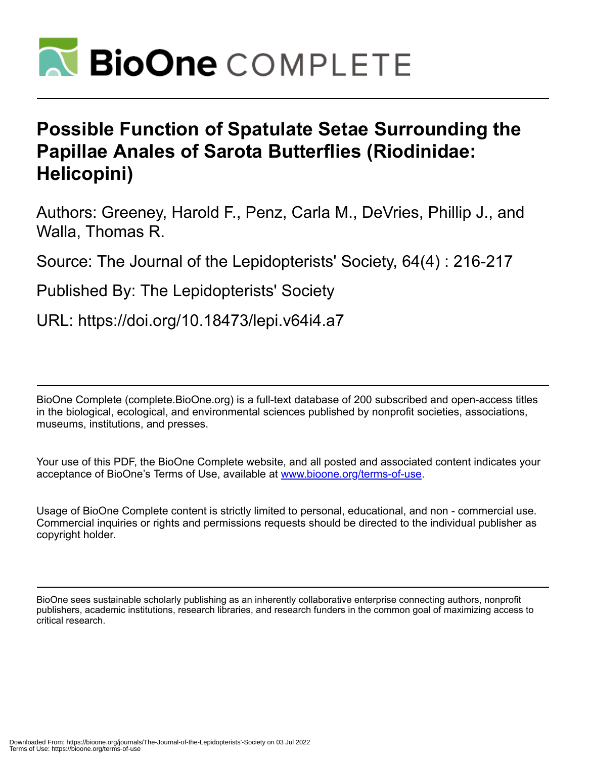

## **Possible Function of Spatulate Setae Surrounding the Papillae Anales of Sarota Butterflies (Riodinidae: Helicopini)**

Authors: Greeney, Harold F., Penz, Carla M., DeVries, Phillip J., and Walla, Thomas R.

Source: The Journal of the Lepidopterists' Society, 64(4) : 216-217

Published By: The Lepidopterists' Society

URL: https://doi.org/10.18473/lepi.v64i4.a7

BioOne Complete (complete.BioOne.org) is a full-text database of 200 subscribed and open-access titles in the biological, ecological, and environmental sciences published by nonprofit societies, associations, museums, institutions, and presses.

Your use of this PDF, the BioOne Complete website, and all posted and associated content indicates your acceptance of BioOne's Terms of Use, available at www.bioone.org/terms-of-use.

Usage of BioOne Complete content is strictly limited to personal, educational, and non - commercial use. Commercial inquiries or rights and permissions requests should be directed to the individual publisher as copyright holder.

BioOne sees sustainable scholarly publishing as an inherently collaborative enterprise connecting authors, nonprofit publishers, academic institutions, research libraries, and research funders in the common goal of maximizing access to critical research.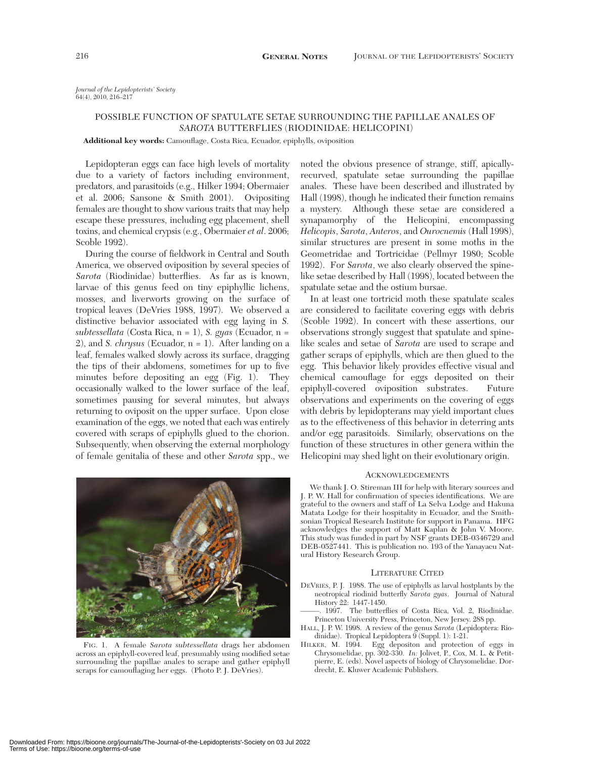*Journal of the Lepidopterists' Society* 64(4), 2010, 216–217

## POSSIBLE FUNCTION OF SPATULATE SETAE SURROUNDING THE PAPILLAE ANALES OF *SAROTA* BUTTERFLIES (RIODINIDAE: HELICOPINI)

**Additional key words:** Camouflage, Costa Rica, Ecuador, epiphylls, oviposition

Lepidopteran eggs can face high levels of mortality due to a variety of factors including environment, predators, and parasitoids (e.g., Hilker 1994; Obermaier et al. 2006; Sansone & Smith 2001). Ovipositing females are thought to show various traits that may help escape these pressures, including egg placement, shell toxins, and chemical crypsis (e.g., Obermaier *et al*. 2006; Scoble 1992).

During the course of fieldwork in Central and South America, we observed oviposition by several species of *Sarota* (Riodinidae) butterflies. As far as is known, larvae of this genus feed on tiny epiphyllic lichens, mosses, and liverworts growing on the surface of tropical leaves (DeVries 1988, 1997). We observed a distinctive behavior associated with egg laying in *S. subtessellata* (Costa Rica, n = 1), *S. gyas* (Ecuador, n = 2), and *S. chrysus* (Ecuador, n = 1). After landing on a leaf, females walked slowly across its surface, dragging the tips of their abdomens, sometimes for up to five minutes before depositing an egg (Fig. 1). They occasionally walked to the lower surface of the leaf, sometimes pausing for several minutes, but always returning to oviposit on the upper surface. Upon close examination of the eggs, we noted that each was entirely covered with scraps of epiphylls glued to the chorion. Subsequently, when observing the external morphology of female genitalia of these and other *Sarota* spp., we



FIG. 1. A female *Sarota subtessellata* drags her abdomen across an epiphyll-covered leaf, presumably using modified setae surrounding the papillae anales to scrape and gather epiphyll scraps for camouflaging her eggs. (Photo P. J. DeVries).

noted the obvious presence of strange, stiff, apicallyrecurved, spatulate setae surrounding the papillae anales. These have been described and illustrated by Hall (1998), though he indicated their function remains a mystery. Although these setae are considered a synapamorphy of the Helicopini, encompassing *Helicopis*, *Sarota*, *Anteros*, and *Ourocnemis* (Hall 1998), similar structures are present in some moths in the Geometridae and Tortricidae (Pellmyr 1980; Scoble 1992). For *Sarota*, we also clearly observed the spinelike setae described by Hall (1998), located between the spatulate setae and the ostium bursae.

In at least one tortricid moth these spatulate scales are considered to facilitate covering eggs with debris (Scoble 1992). In concert with these assertions, our observations strongly suggest that spatulate and spinelike scales and setae of *Sarota* are used to scrape and gather scraps of epiphylls, which are then glued to the egg. This behavior likely provides effective visual and chemical camouflage for eggs deposited on their epiphyll-covered oviposition substrates. Future observations and experiments on the covering of eggs with debris by lepidopterans may yield important clues as to the effectiveness of this behavior in deterring ants and/or egg parasitoids. Similarly, observations on the function of these structures in other genera within the Helicopini may shed light on their evolutionary origin.

## ACKNOWLEDGEMENTS

We thank J. O. Stireman III for help with literary sources and J. P. W. Hall for confirmation of species identifications. We are grateful to the owners and staff of La Selva Lodge and Hakuna Matata Lodge for their hospitality in Ecuador, and the Smithsonian Tropical Research Institute for support in Panama. HFG acknowledges the support of Matt Kaplan & John V. Moore. This study was funded in part by NSF grants DEB-0346729 and DEB-0527441. This is publication no. 193 of the Yanayacu Natural History Research Group.

## LITERATURE CITED

- DEVRIES, P. J. 1988. The use of epiphylls as larval hostplants by the neotropical riodinid butterfly *Sarota gyas*. Journal of Natural History 22: 1447-1450.
- 1997. The butterflies of Costa Rica, Vol. 2, Riodinidae. Princeton University Press, Princeton, New Jersey. 288 pp.
- HALL, J. P. W. 1998. A review of the genus *Sarota* (Lepidoptera: Riodinidae). Tropical Lepidoptera  $\breve{9}$  (Suppl. 1): 1-21.
- HILKER, M. 1994. Egg depositon and protection of eggs in Chrysomelidae, pp. 302-330. *In:* Jolivet, P., Cox, M. L. & Petitpierre, E. (eds). Novel aspects of biology of Chrysomelidae. Dordrecht, E. Kluwer Academic Publishers.